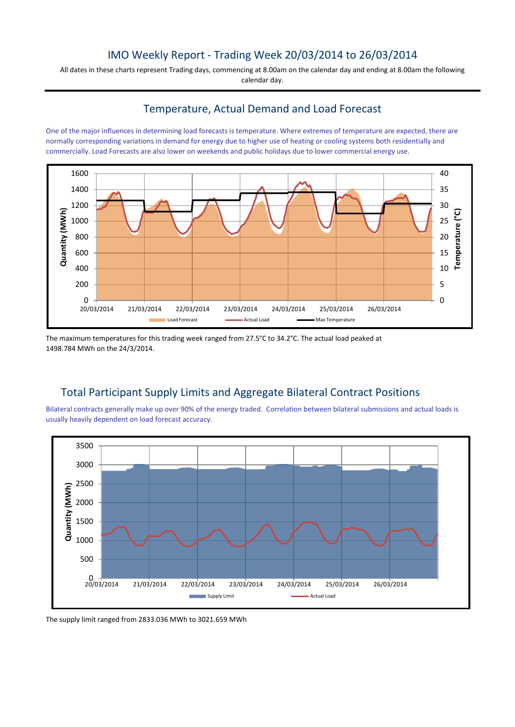## IMO Weekly Report - Trading Week 20/03/2014 to 26/03/2014

All dates in these charts represent Trading days, commencing at 8.00am on the calendar day and ending at 8.00am the following calendar day.

### Temperature, Actual Demand and Load Forecast

One of the major influences in determining load forecasts is temperature. Where extremes of temperature are expected, there are normally corresponding variations in demand for energy due to higher use of heating or cooling systems both residentially and commercially. Load Forecasts are also lower on weekends and public holidays due to lower commercial energy use.



The maximum temperatures for this trading week ranged from 27.5°C to 34.2°C. The actual load peaked at 1498.784 MWh on the 24/3/2014.

# Total Participant Supply Limits and Aggregate Bilateral Contract Positions

Bilateral contracts generally make up over 90% of the energy traded. Correlation between bilateral submissions and actual loads is usually heavily dependent on load forecast accuracy.



The supply limit ranged from 2833.036 MWh to 3021.659 MWh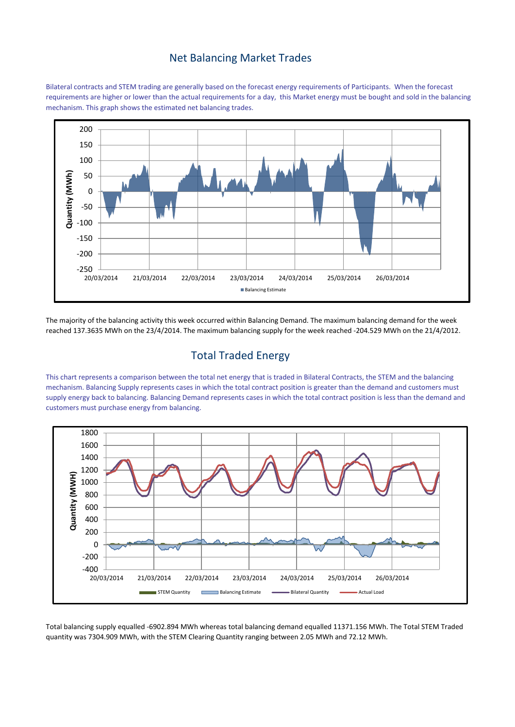### Net Balancing Market Trades

Bilateral contracts and STEM trading are generally based on the forecast energy requirements of Participants. When the forecast requirements are higher or lower than the actual requirements for a day, this Market energy must be bought and sold in the balancing mechanism. This graph shows the estimated net balancing trades.



The majority of the balancing activity this week occurred within Balancing Demand. The maximum balancing demand for the week reached 137.3635 MWh on the 23/4/2014. The maximum balancing supply for the week reached -204.529 MWh on the 21/4/2012.

## Total Traded Energy

This chart represents a comparison between the total net energy that is traded in Bilateral Contracts, the STEM and the balancing mechanism. Balancing Supply represents cases in which the total contract position is greater than the demand and customers must supply energy back to balancing. Balancing Demand represents cases in which the total contract position is less than the demand and customers must purchase energy from balancing.



Total balancing supply equalled -6902.894 MWh whereas total balancing demand equalled 11371.156 MWh. The Total STEM Traded quantity was 7304.909 MWh, with the STEM Clearing Quantity ranging between 2.05 MWh and 72.12 MWh.